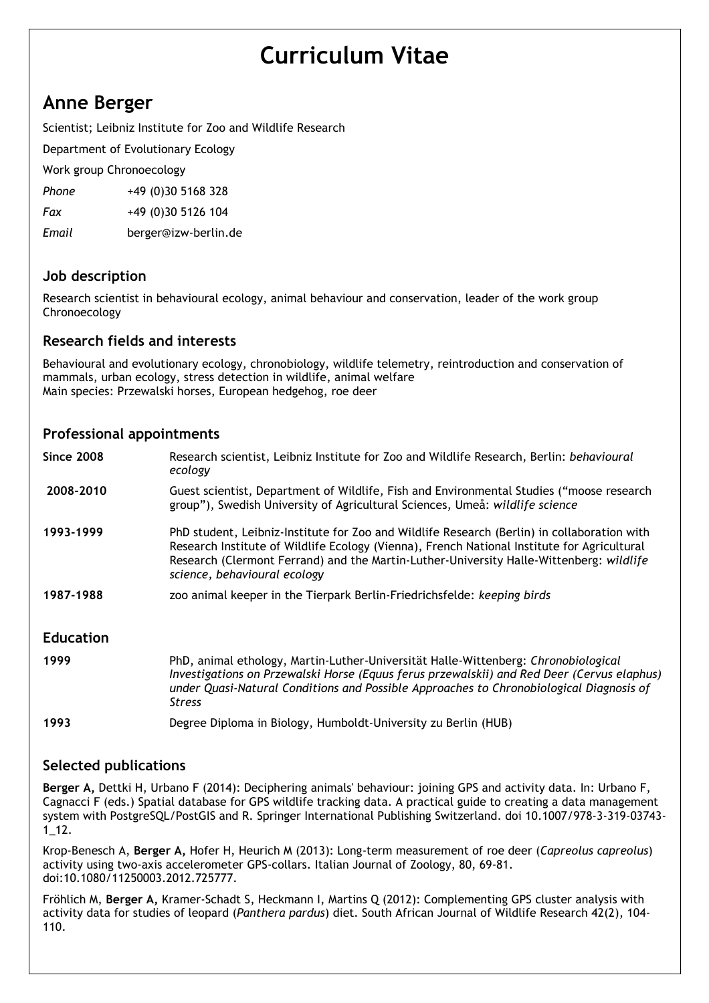# Curriculum Vitae

# Anne Berger

Scientist; Leibniz Institute for Zoo and Wildlife Research

Department of Evolutionary Ecology

Work group Chronoecology

Phone +49 (0)30 5168 328

Fax +49 (0)30 5126 104

Email berger@izw-berlin.de

# Job description

Research scientist in behavioural ecology, animal behaviour and conservation, leader of the work group Chronoecology

# Research fields and interests

Behavioural and evolutionary ecology, chronobiology, wildlife telemetry, reintroduction and conservation of mammals, urban ecology, stress detection in wildlife, animal welfare Main species: Przewalski horses, European hedgehog, roe deer

#### Professional appointments

| <b>Since 2008</b> | Research scientist, Leibniz Institute for Zoo and Wildlife Research, Berlin: behavioural<br>ecology                                                                                                                                                                                                                   |
|-------------------|-----------------------------------------------------------------------------------------------------------------------------------------------------------------------------------------------------------------------------------------------------------------------------------------------------------------------|
| 2008-2010         | Guest scientist, Department of Wildlife, Fish and Environmental Studies ("moose research<br>group"), Swedish University of Agricultural Sciences, Umeå: wildlife science                                                                                                                                              |
| 1993-1999         | PhD student, Leibniz-Institute for Zoo and Wildlife Research (Berlin) in collaboration with<br>Research Institute of Wildlife Ecology (Vienna), French National Institute for Agricultural<br>Research (Clermont Ferrand) and the Martin-Luther-University Halle-Wittenberg: wildlife<br>science, behavioural ecology |
| 1987-1988         | zoo animal keeper in the Tierpark Berlin-Friedrichsfelde: keeping birds                                                                                                                                                                                                                                               |
| <b>Education</b>  |                                                                                                                                                                                                                                                                                                                       |
| 1999              | PhD, animal ethology, Martin-Luther-Universität Halle-Wittenberg: Chronobiological<br>Investigations on Przewalski Horse (Equus ferus przewalskii) and Red Deer (Cervus elaphus)<br>under Quasi-Natural Conditions and Possible Approaches to Chronobiological Diagnosis of<br>Stress                                 |
| 1993              | Degree Diploma in Biology, Humboldt-University zu Berlin (HUB)                                                                                                                                                                                                                                                        |

#### Selected publications

Berger A, Dettki H, Urbano F (2014): Deciphering animals' behaviour: joining GPS and activity data. In: Urbano F, Cagnacci F (eds.) Spatial database for GPS wildlife tracking data. A practical guide to creating a data management system with PostgreSQL/PostGIS and R. Springer International Publishing Switzerland. doi 10.1007/978-3-319-03743- 1\_12.

Krop-Benesch A, Berger A, Hofer H, Heurich M (2013): Long-term measurement of roe deer (Capreolus capreolus) activity using two-axis accelerometer GPS-collars. Italian Journal of Zoology, 80, 69-81. doi:10.1080/11250003.2012.725777.

Fröhlich M, Berger A, Kramer-Schadt S, Heckmann I, Martins Q (2012): Complementing GPS cluster analysis with activity data for studies of leopard (Panthera pardus) diet. South African Journal of Wildlife Research 42(2), 104-110.